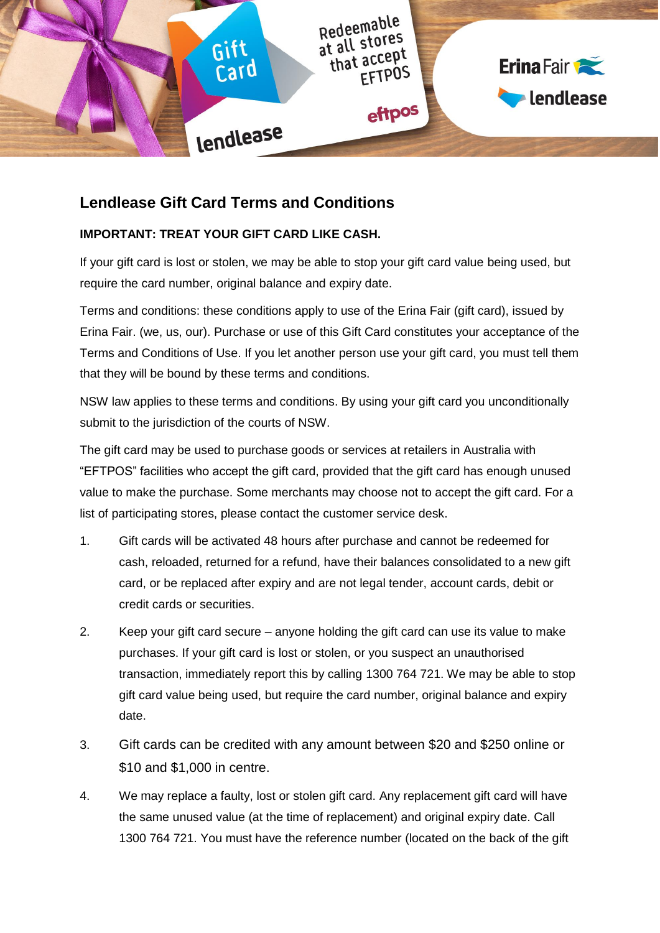

# **Lendlease Gift Card Terms and Conditions**

### **IMPORTANT: TREAT YOUR GIFT CARD LIKE CASH.**

If your gift card is lost or stolen, we may be able to stop your gift card value being used, but require the card number, original balance and expiry date.

Terms and conditions: these conditions apply to use of the Erina Fair (gift card), issued by Erina Fair. (we, us, our). Purchase or use of this Gift Card constitutes your acceptance of the Terms and Conditions of Use. If you let another person use your gift card, you must tell them that they will be bound by these terms and conditions.

NSW law applies to these terms and conditions. By using your gift card you unconditionally submit to the jurisdiction of the courts of NSW.

The gift card may be used to purchase goods or services at retailers in Australia with "EFTPOS" facilities who accept the gift card, provided that the gift card has enough unused value to make the purchase. Some merchants may choose not to accept the gift card. For a list of participating stores, please contact the customer service desk.

- 1. Gift cards will be activated 48 hours after purchase and cannot be redeemed for cash, reloaded, returned for a refund, have their balances consolidated to a new gift card, or be replaced after expiry and are not legal tender, account cards, debit or credit cards or securities.
- 2. Keep your gift card secure anyone holding the gift card can use its value to make purchases. If your gift card is lost or stolen, or you suspect an unauthorised transaction, immediately report this by calling 1300 764 721. We may be able to stop gift card value being used, but require the card number, original balance and expiry date.
- 3. Gift cards can be credited with any amount between \$20 and \$250 online or \$10 and \$1,000 in centre.
- 4. We may replace a faulty, lost or stolen gift card. Any replacement gift card will have the same unused value (at the time of replacement) and original expiry date. Call 1300 764 721. You must have the reference number (located on the back of the gift